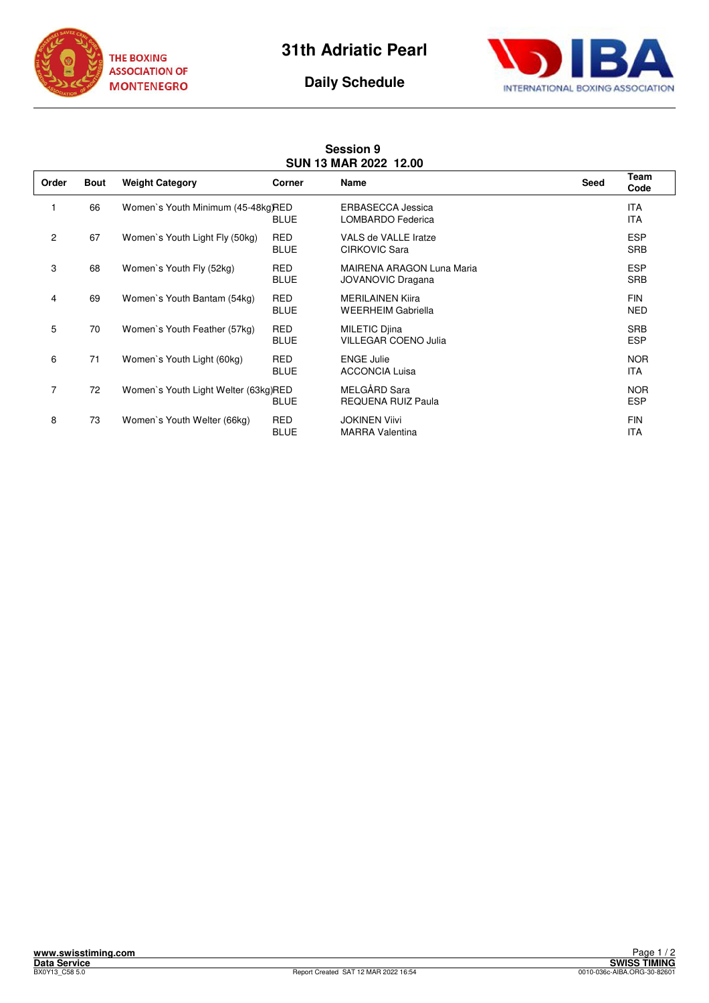



## **Daily Schedule**

## **Session 9 SUN 13 MAR 2022 12.00**

| Order          | <b>Bout</b> | <b>Weight Category</b>               | Corner                    | Name                                                  | Seed | Team<br>Code             |
|----------------|-------------|--------------------------------------|---------------------------|-------------------------------------------------------|------|--------------------------|
|                | 66          | Women's Youth Minimum (45-48kg)RED   | <b>BLUE</b>               | <b>ERBASECCA Jessica</b><br>LOMBARDO Federica         |      | <b>ITA</b><br><b>ITA</b> |
| $\overline{c}$ | 67          | Women's Youth Light Fly (50kg)       | <b>RED</b><br><b>BLUE</b> | VALS de VALLE Iratze<br>CIRKOVIC Sara                 |      | <b>ESP</b><br><b>SRB</b> |
| 3              | 68          | Women's Youth Fly (52kg)             | <b>RED</b><br><b>BLUE</b> | MAIRENA ARAGON Luna Maria<br><b>JOVANOVIC Dragana</b> |      | <b>ESP</b><br><b>SRB</b> |
| 4              | 69          | Women's Youth Bantam (54kg)          | <b>RED</b><br><b>BLUE</b> | <b>MERILAINEN Kiira</b><br><b>WEERHEIM Gabriella</b>  |      | <b>FIN</b><br><b>NED</b> |
| 5              | 70          | Women's Youth Feather (57kg)         | <b>RED</b><br><b>BLUE</b> | <b>MILETIC Djina</b><br><b>VILLEGAR COENO Julia</b>   |      | <b>SRB</b><br><b>ESP</b> |
| 6              | 71          | Women's Youth Light (60kg)           | <b>RED</b><br><b>BLUE</b> | <b>ENGE Julie</b><br><b>ACCONCIA Luisa</b>            |      | <b>NOR</b><br>ITA        |
| 7              | 72          | Women's Youth Light Welter (63kg)RED | <b>BLUE</b>               | MELGÅRD Sara<br><b>REQUENA RUIZ Paula</b>             |      | <b>NOR</b><br><b>ESP</b> |
| 8              | 73          | Women's Youth Welter (66kg)          | <b>RED</b><br><b>BLUE</b> | <b>JOKINEN Viivi</b><br><b>MARRA Valentina</b>        |      | <b>FIN</b><br><b>ITA</b> |